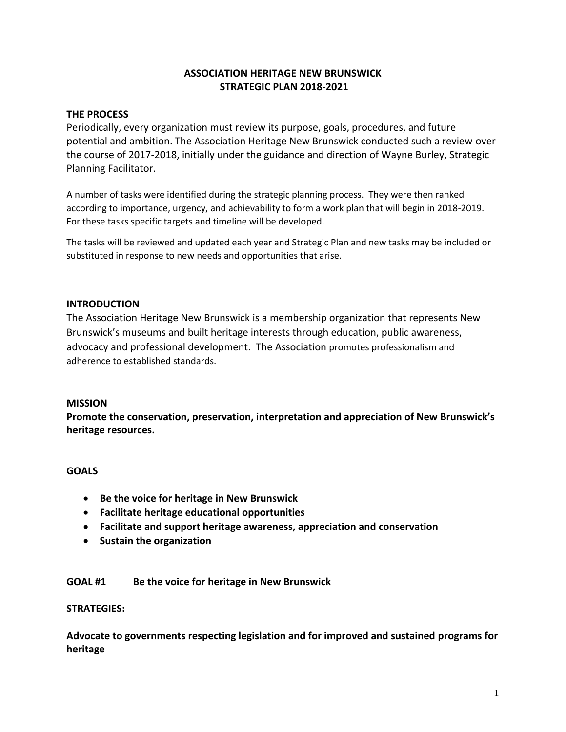# **ASSOCIATION HERITAGE NEW BRUNSWICK STRATEGIC PLAN 2018-2021**

# **THE PROCESS**

Periodically, every organization must review its purpose, goals, procedures, and future potential and ambition. The Association Heritage New Brunswick conducted such a review over the course of 2017-2018, initially under the guidance and direction of Wayne Burley, Strategic Planning Facilitator.

A number of tasks were identified during the strategic planning process. They were then ranked according to importance, urgency, and achievability to form a work plan that will begin in 2018-2019. For these tasks specific targets and timeline will be developed.

The tasks will be reviewed and updated each year and Strategic Plan and new tasks may be included or substituted in response to new needs and opportunities that arise.

# **INTRODUCTION**

The Association Heritage New Brunswick is a membership organization that represents New Brunswick's museums and built heritage interests through education, public awareness, advocacy and professional development. The Association promotes professionalism and adherence to established standards.

### **MISSION**

**Promote the conservation, preservation, interpretation and appreciation of New Brunswick's heritage resources.**

### **GOALS**

- **Be the voice for heritage in New Brunswick**
- **Facilitate heritage educational opportunities**
- **Facilitate and support heritage awareness, appreciation and conservation**
- **Sustain the organization**

### **GOAL #1 Be the voice for heritage in New Brunswick**

#### **STRATEGIES:**

**Advocate to governments respecting legislation and for improved and sustained programs for heritage**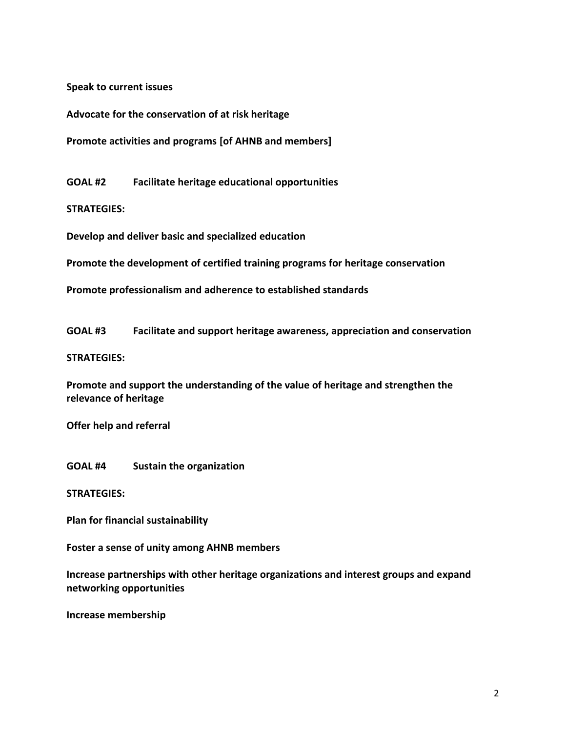**Speak to current issues** 

**Advocate for the conservation of at risk heritage** 

**Promote activities and programs [of AHNB and members]**

**GOAL #2 Facilitate heritage educational opportunities** 

**STRATEGIES:**

**Develop and deliver basic and specialized education** 

**Promote the development of certified training programs for heritage conservation** 

**Promote professionalism and adherence to established standards** 

**GOAL #3 Facilitate and support heritage awareness, appreciation and conservation**

#### **STRATEGIES:**

**Promote and support the understanding of the value of heritage and strengthen the relevance of heritage** 

**Offer help and referral**

**GOAL #4 Sustain the organization**

**STRATEGIES:**

**Plan for financial sustainability** 

**Foster a sense of unity among AHNB members** 

**Increase partnerships with other heritage organizations and interest groups and expand networking opportunities** 

**Increase membership**